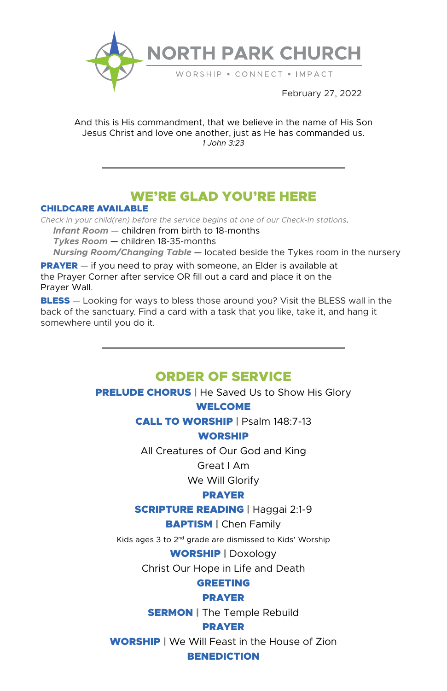

And this is His commandment, that we believe in the name of His Son Jesus Christ and love one another, just as He has commanded us. *1 John 3:23*

# WE'RE GLAD YOU'RE HERE

#### CHILDCARE AVAILABLE

*Check in your child(ren) before the service begins at one of our Check-In stations. Infant Room* — children from birth to 18-months  *Tykes Room* — children 18-35-months  *Nursing Room/Changing Table* — located beside the Tykes room in the nursery

**PRAYER** — if you need to pray with someone, an Elder is available at the Prayer Corner after service OR fill out a card and place it on the Prayer Wall.

**BLESS** — Looking for ways to bless those around you? Visit the BLESS wall in the back of the sanctuary. Find a card with a task that you like, take it, and hang it somewhere until you do it.

## ORDER OF SERVICE

**PRELUDE CHORUS** | He Saved Us to Show His Glory

#### WELCOME

CALL TO WORSHIP | Psalm 148:7-13

## WORSHIP

All Creatures of Our God and King

Great I Am

We Will Glorify

## PRAYER

SCRIPTURE READING | Haggai 2:1-9

BAPTISM | Chen Family

Kids ages 3 to 2nd grade are dismissed to Kids' Worship

WORSHIP | Doxology

Christ Our Hope in Life and Death

## GREETING

#### PRAYER

**SERMON** | The Temple Rebuild

## PRAYER

WORSHIP | We Will Feast in the House of Zion

#### **BENEDICTION**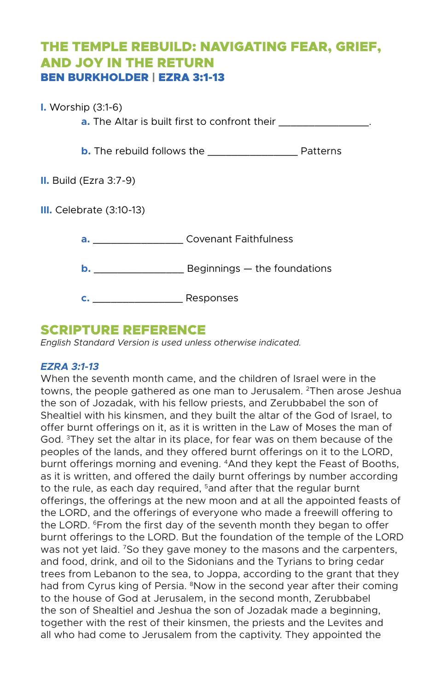# THE TEMPLE REBUILD: NAVIGATING FEAR, GRIEF, AND JOY IN THE RETURN BEN BURKHOLDER | EZRA 3:1-13

### **I.** Worship (3:1-6)

**a.** The Altar is built first to confront their **with the set of the set of the set of the set of the set of the set of the set of the set of the set of the set of the set of the set of the set of the set of the set of the** 

**b.** The rebuild follows the \_\_\_\_\_\_\_\_\_\_\_\_\_\_\_ Patterns

**II.** Build (Ezra 3:7-9)

**III.** Celebrate (3:10-13)

| a. | <b>Covenant Faithfulness</b> |
|----|------------------------------|
|    | Beginnings – the foundations |
|    | Responses                    |

## SCRIPTURE REFERENCE

*English Standard Version is used unless otherwise indicated.*

## *EZRA 3:1-13*

When the seventh month came, and the children of Israel were in the towns, the people gathered as one man to Jerusalem. <sup>2</sup>Then arose Jeshua the son of Jozadak, with his fellow priests, and Zerubbabel the son of Shealtiel with his kinsmen, and they built the altar of the God of Israel, to offer burnt offerings on it, as it is written in the Law of Moses the man of God. 3They set the altar in its place, for fear was on them because of the peoples of the lands, and they offered burnt offerings on it to the LORD, burnt offerings morning and evening. 4And they kept the Feast of Booths, as it is written, and offered the daily burnt offerings by number according to the rule, as each day required,  $5$  and after that the regular burnt offerings, the offerings at the new moon and at all the appointed feasts of the LORD, and the offerings of everyone who made a freewill offering to the LORD. <sup>6</sup>From the first day of the seventh month they began to offer burnt offerings to the LORD. But the foundation of the temple of the LORD was not yet laid. <sup>7</sup>So they gave money to the masons and the carpenters, and food, drink, and oil to the Sidonians and the Tyrians to bring cedar trees from Lebanon to the sea, to Joppa, according to the grant that they had from Cyrus king of Persia. <sup>8</sup>Now in the second year after their coming to the house of God at Jerusalem, in the second month, Zerubbabel the son of Shealtiel and Jeshua the son of Jozadak made a beginning, together with the rest of their kinsmen, the priests and the Levites and all who had come to Jerusalem from the captivity. They appointed the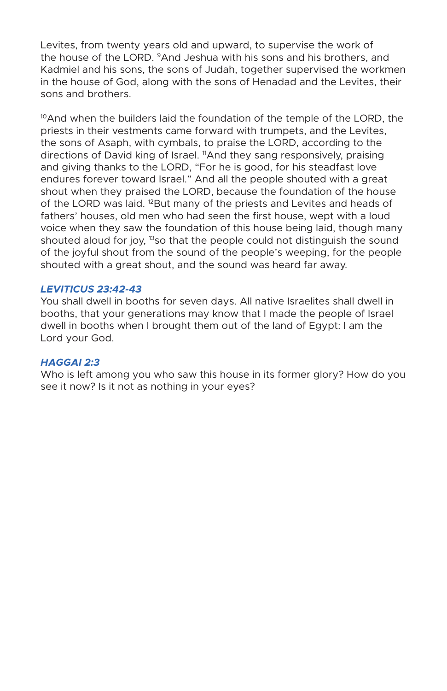Levites, from twenty years old and upward, to supervise the work of the house of the LORD. 9And Jeshua with his sons and his brothers, and Kadmiel and his sons, the sons of Judah, together supervised the workmen in the house of God, along with the sons of Henadad and the Levites, their sons and brothers.

 $10$ And when the builders laid the foundation of the temple of the LORD, the priests in their vestments came forward with trumpets, and the Levites, the sons of Asaph, with cymbals, to praise the LORD, according to the directions of David king of Israel. <sup>11</sup>And they sang responsively, praising and giving thanks to the LORD, "For he is good, for his steadfast love endures forever toward Israel." And all the people shouted with a great shout when they praised the LORD, because the foundation of the house of the LORD was laid. <sup>12</sup>But many of the priests and Levites and heads of fathers' houses, old men who had seen the first house, wept with a loud voice when they saw the foundation of this house being laid, though many shouted aloud for joy, <sup>13</sup>so that the people could not distinguish the sound of the joyful shout from the sound of the people's weeping, for the people shouted with a great shout, and the sound was heard far away.

#### *LEVITICUS 23:42-43*

You shall dwell in booths for seven days. All native Israelites shall dwell in booths, that your generations may know that I made the people of Israel dwell in booths when I brought them out of the land of Egypt: I am the Lord your God.

#### *HAGGAI 2:3*

Who is left among you who saw this house in its former glory? How do you see it now? Is it not as nothing in your eyes?